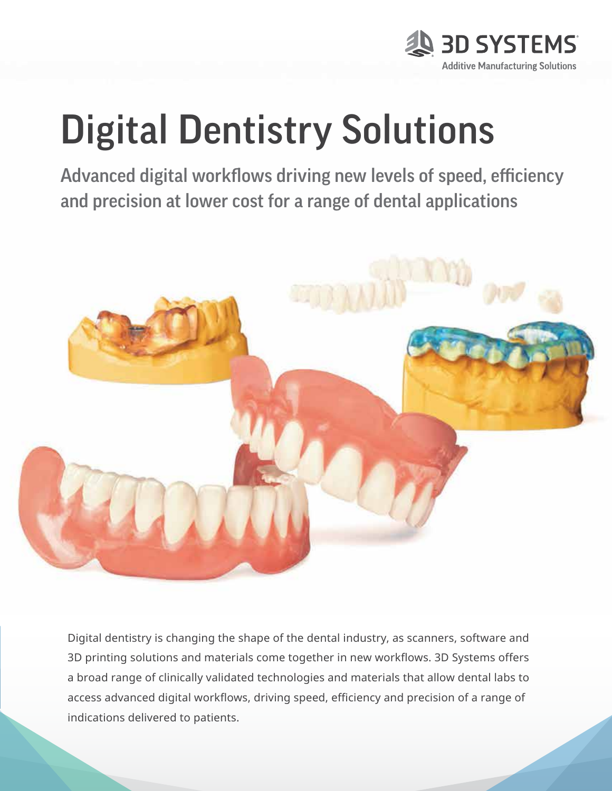

# Digital Dentistry Solutions

Advanced digital workflows driving new levels of speed, efficiency and precision at lower cost for a range of dental applications



Digital dentistry is changing the shape of the dental industry, as scanners, software and 3D printing solutions and materials come together in new workflows. 3D Systems offers a broad range of clinically validated technologies and materials that allow dental labs to access advanced digital workflows, driving speed, efficiency and precision of a range of indications delivered to patients.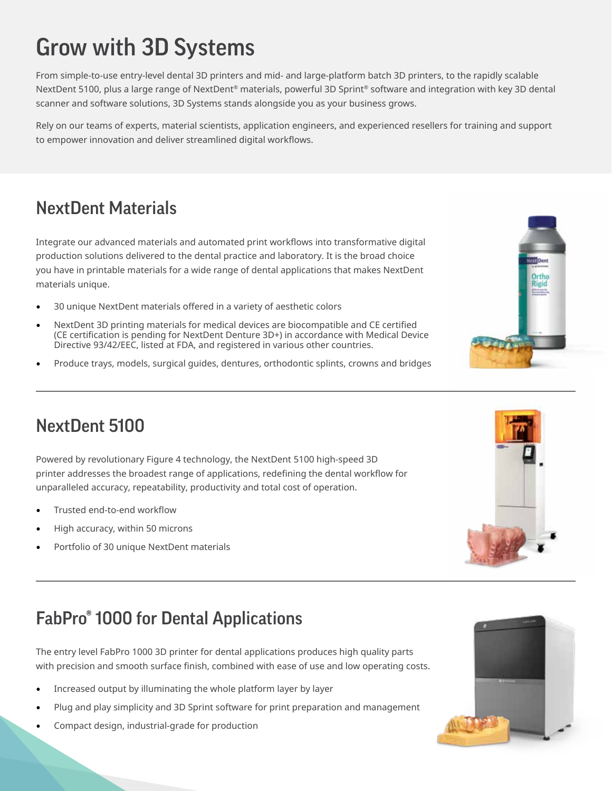# Grow with 3D Systems

From simple-to-use entry-level dental 3D printers and mid- and large-platform batch 3D printers, to the rapidly scalable NextDent 5100, plus a large range of NextDent® materials, powerful 3D Sprint® software and integration with key 3D dental scanner and software solutions, 3D Systems stands alongside you as your business grows.

Rely on our teams of experts, material scientists, application engineers, and experienced resellers for training and support to empower innovation and deliver streamlined digital workflows.

## NextDent Materials

Integrate our advanced materials and automated print workflows into transformative digital production solutions delivered to the dental practice and laboratory. It is the broad choice you have in printable materials for a wide range of dental applications that makes NextDent materials unique.

- 30 unique NextDent materials offered in a variety of aesthetic colors
- NextDent 3D printing materials for medical devices are biocompatible and CE certified (CE certification is pending for NextDent Denture 3D+) in accordance with Medical Device Directive 93/42/EEC, listed at FDA, and registered in various other countries.
- Produce trays, models, surgical guides, dentures, orthodontic splints, crowns and bridges



## NextDent 5100

Powered by revolutionary Figure 4 technology, the NextDent 5100 high-speed 3D printer addresses the broadest range of applications, redefining the dental workflow for unparalleled accuracy, repeatability, productivity and total cost of operation.

- Trusted end-to-end workflow
- High accuracy, within 50 microns
- Portfolio of 30 unique NextDent materials



## FabPro® 1000 for Dental Applications

The entry level FabPro 1000 3D printer for dental applications produces high quality parts with precision and smooth surface finish, combined with ease of use and low operating costs.

- Increased output by illuminating the whole platform layer by layer
- Plug and play simplicity and 3D Sprint software for print preparation and management
- Compact design, industrial-grade for production

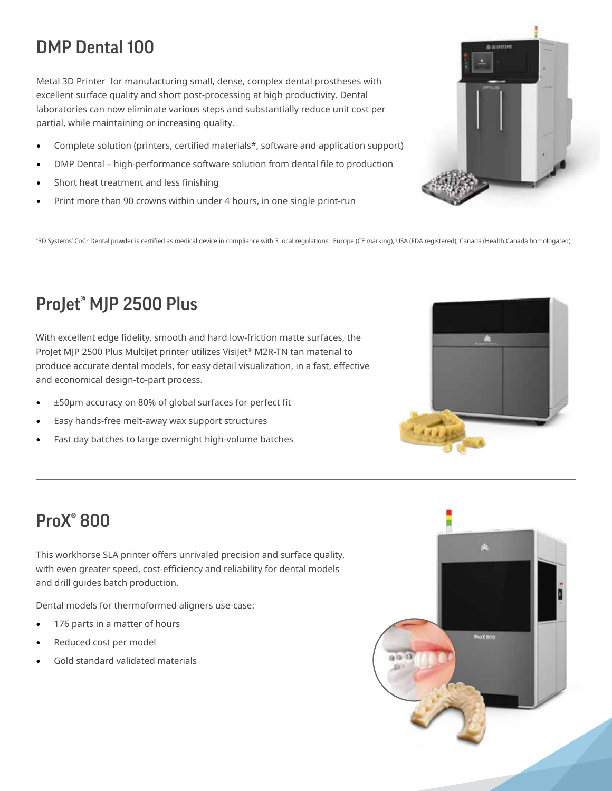## DMP Dental 100

Metal 3D Printer for manufacturing small, dense, complex dental prostheses with excellent surface quality and short post-processing at high productivity. Dental laboratories can now eliminate various steps and substantially reduce unit cost per partial, while maintaining or increasing quality.

- Complete solution (printers, certified materials\*, software and application support)
- DMP Dental high-performance software solution from dental file to production
- Short heat treatment and less finishing
- Print more than 90 crowns within under 4 hours, in one single print-run

\* 3D Systems' CoCr Dental powder is certified as medical device in compliance with 3 local regulations: Europe (CE marking), USA (FDA registered), Canada (Health Canada homologated)

## ProJet® MJP 2500 Plus

With excellent edge fidelity, smooth and hard low-friction matte surfaces, the ProJet MJP 2500 Plus MultiJet printer utilizes VisiJet® M2R-TN tan material to produce accurate dental models, for easy detail visualization, in a fast, effective and economical design-to-part process.

- ±50µm accuracy on 80% of global surfaces for perfect fit
- Easy hands-free melt-away wax support structures
- Fast day batches to large overnight high-volume batches

#### ProX® 800

This workhorse SLA printer offers unrivaled precision and surface quality, with even greater speed, cost-efficiency and reliability for dental models and drill guides batch production.

Dental models for thermoformed aligners use-case:

- 176 parts in a matter of hours
- Reduced cost per model
- Gold standard validated materials